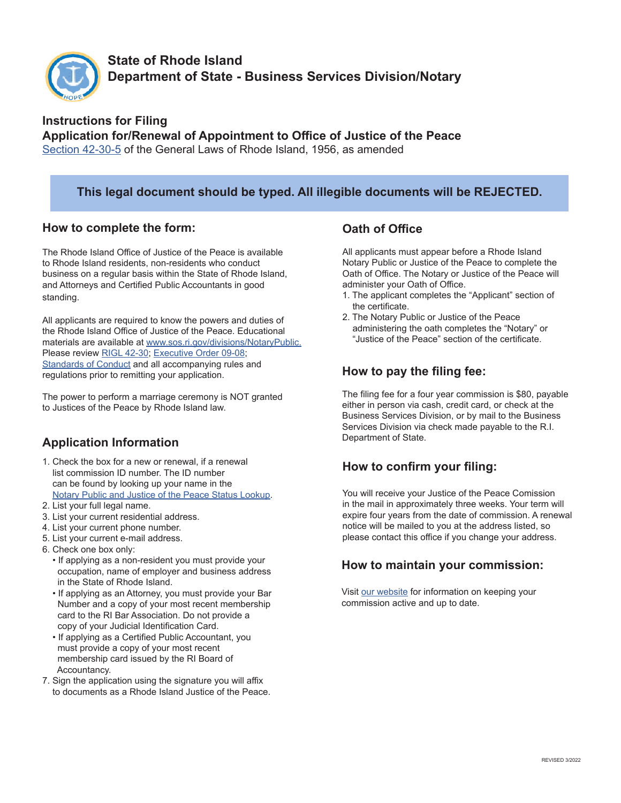

# **State of Rhode Island Department of State - Business Services Division/Notary**

#### **Instructions for Filing Application for/Renewal of Appointment to Office of Justice of the Peace** [Section 42-30-5](http://webserver.rilin.state.ri.us/Statutes/TITLE42/42-30/42-30-5.HTM) of the General Laws of Rhode Island, 1956, as amended

#### **This legal document should be typed. All illegible documents will be REJECTED.**

#### **How to complete the form:**

The Rhode Island Office of Justice of the Peace is available to Rhode Island residents, non-residents who conduct business on a regular basis within the State of Rhode Island, and Attorneys and Certified Public Accountants in good standing.

All applicants are required to know the powers and duties of the Rhode Island Office of Justice of the Peace. Educational materials are available at www.sos.ri.gov/divisions/NotaryPublic. Please review [RIGL 42-30;](http://webserver.rilin.state.ri.us/Statutes/TITLE42/42-30/INDEX.HTM) [Executive Order 09-08](https://statelibrarycatalog.sos.ri.gov/cgi-bin/koha/pages.pl?p=govorder); [Standards of Conduct](https://www.sos.ri.gov/assets/downloads/documents/notary-standards-of-conduct-for-notaries-amended.pdf) and all accompanying rules and regulations prior to remitting your application.

The power to perform a marriage ceremony is NOT granted to Justices of the Peace by Rhode Island law.

## **Application Information**

- 1. Check the box for a new or renewal, if a renewal list commission ID number. The ID number can be found by looking up your name in the [Notary Public and Justice of the Peace Status Lookup.](https://business.sos.ri.gov/PublicNotarySearch/Home)
- 2. List your full legal name.
- 3. List your current residential address.
- 4. List your current phone number.
- 5. List your current e-mail address.
- 6. Check one box only:
	- If applying as a non-resident you must provide your occupation, name of employer and business address in the State of Rhode Island.
	- If applying as an Attorney, you must provide your Bar Number and a copy of your most recent membership card to the RI Bar Association. Do not provide a copy of your Judicial Identification Card.
	- If applying as a Certified Public Accountant, you must provide a copy of your most recent membership card issued by the RI Board of Accountancy.
- 7. Sign the application using the signature you will affix to documents as a Rhode Island Justice of the Peace.

#### **Oath of Office**

All applicants must appear before a Rhode Island Notary Public or Justice of the Peace to complete the Oath of Office. The Notary or Justice of the Peace will administer your Oath of Office.

- 1. The applicant completes the "Applicant" section of the certificate.
- 2. The Notary Public or Justice of the Peace administering the oath completes the "Notary" or "Justice of the Peace" section of the certificate.

## **How to pay the filing fee:**

The filing fee for a four year commission is \$80, payable either in person via cash, credit card, or check at the Business Services Division, or by mail to the Business Services Division via check made payable to the R.I. Department of State.

## **How to confirm your filing:**

You will receive your Justice of the Peace Comission in the mail in approximately three weeks. Your term will expire four years from the date of commission. A renewal notice will be mailed to you at the address listed, so please contact this office if you change your address.

## **How to maintain your commission:**

Visit [our website](https://www.sos.ri.gov/divisions/notary-public) for information on keeping your commission active and up to date.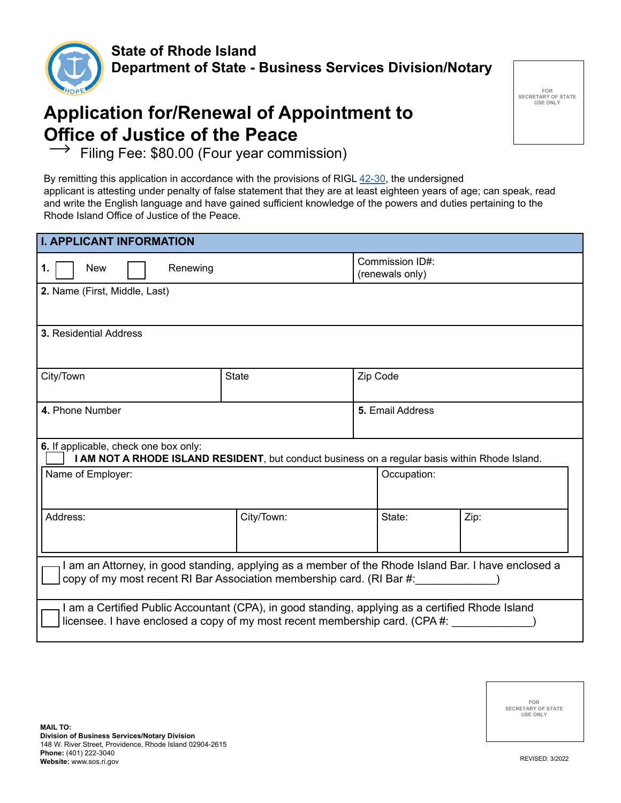

# **Application for/Renewal of Appointment to Office of Justice of the Peace**<br>
→ Filipo Fee: \$80,00 (Four year comp

**FOR SECRETARY OF STATE USE ONLY**

Filing Fee: \$80.00 (Four year commission)

By remitting this application in accordance with the provisions of RIGL [42-30](http://webserver.rilin.state.ri.us/Statutes/TITLE42/42-30/INDEX.HTM), the undersigned applicant is attesting under penalty of false statement that they are at least eighteen years of age; can speak, read and write the English language and have gained sufficient knowledge of the powers and duties pertaining to the Rhode Island Office of Justice of the Peace.

| <b>I. APPLICANT INFORMATION</b>                                                                                                                                                 |              |                                    |                  |      |  |
|---------------------------------------------------------------------------------------------------------------------------------------------------------------------------------|--------------|------------------------------------|------------------|------|--|
| Renewing<br><b>New</b><br>1.                                                                                                                                                    |              | Commission ID#:<br>(renewals only) |                  |      |  |
| 2. Name (First, Middle, Last)                                                                                                                                                   |              |                                    |                  |      |  |
| <b>3. Residential Address</b>                                                                                                                                                   |              |                                    |                  |      |  |
| City/Town                                                                                                                                                                       | <b>State</b> | Zip Code                           |                  |      |  |
| 4. Phone Number                                                                                                                                                                 |              |                                    | 5. Email Address |      |  |
| 6. If applicable, check one box only:<br>I AM NOT A RHODE ISLAND RESIDENT, but conduct business on a regular basis within Rhode Island.                                         |              |                                    |                  |      |  |
| Name of Employer:                                                                                                                                                               |              |                                    | Occupation:      |      |  |
| Address:                                                                                                                                                                        | City/Town:   |                                    | State:           | Zip: |  |
| I am an Attorney, in good standing, applying as a member of the Rhode Island Bar. I have enclosed a<br>copy of my most recent RI Bar Association membership card. (RI Bar #:    |              |                                    |                  |      |  |
| I am a Certified Public Accountant (CPA), in good standing, applying as a certified Rhode Island<br>licensee. I have enclosed a copy of my most recent membership card. (CPA #: |              |                                    |                  |      |  |